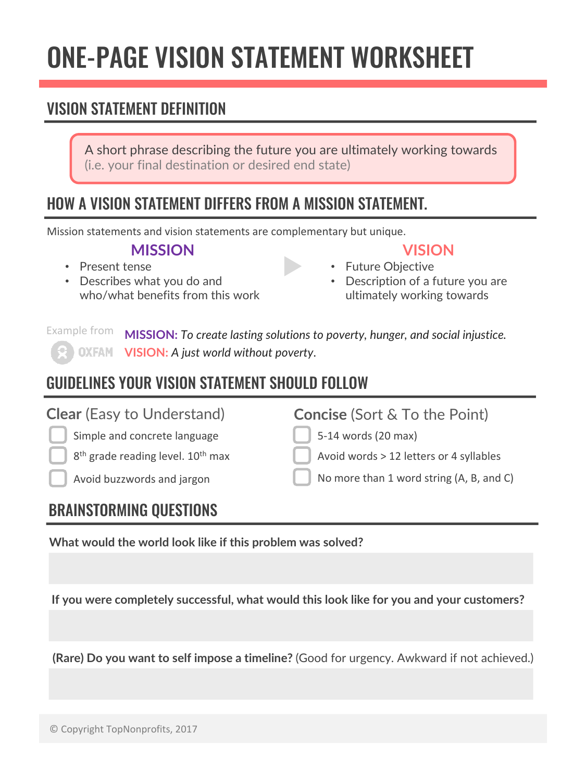## ONE-PAGE VISION STATEMENT WORKSHEET

## VISION STATEMENT DEFINITION

A short phrase describing the future you are ultimately working towards (i.e. your final destination or desired end state)

## HOW A VISION STATEMENT DIFFERS FROM A MISSION STATEMENT.

Mission statements and vision statements are complementary but unique.

#### **MISSION**

- Present tense
- Describes what you do and who/what benefits from this work

## **VISION**

- Future Objective • Description of a future you are
	- ultimately working towards

**MISSION:** *To create lasting solutions to poverty, hunger, and social injustice.* **VISION:** *A just world without poverty*. Example from

## GUIDELINES YOUR VISION STATEMENT SHOULD FOLLOW

Simple and concrete language

8<sup>th</sup> grade reading level. 10<sup>th</sup> max

**Concise** (Sort & To the Point)

5-14 words (20 max)

Avoid words  $> 12$  letters or 4 syllables

Avoid buzzwords and jargon  $\Box$  No more than 1 word string (A, B, and C)

## BRAINSTORMING QUESTIONS

**What would the world look like if this problem was solved?**

**If you were completely successful, what would this look like for you and your customers?**

**(Rare) Do you want to self impose a timeline?** (Good for urgency. Awkward if not achieved.)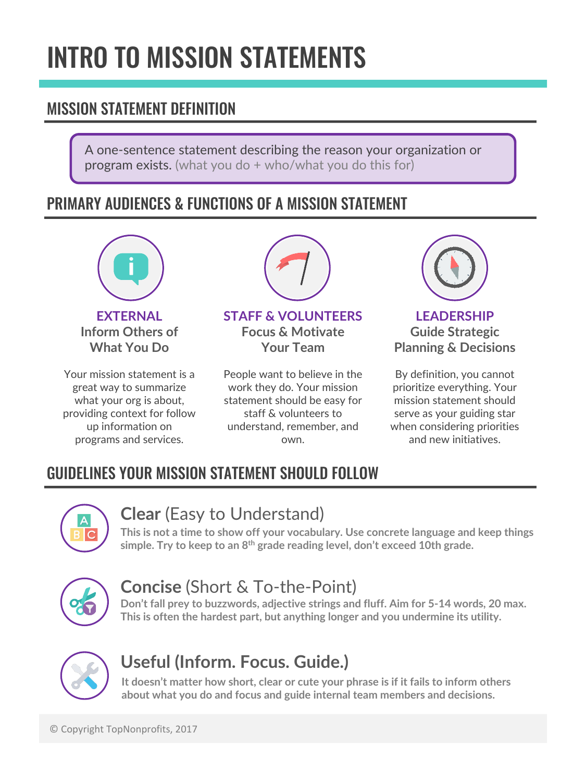## INTRO TO MISSION STATEMENTS

## MISSION STATEMENT DEFINITION

A one-sentence statement describing the reason your organization or program exists. (what you do + who/what you do this for)

## PRIMARY AUDIENCES & FUNCTIONS OF A MISSION STATEMENT



**EXTERNAL Inform Others of What You Do**

Your mission statement is a great way to summarize what your org is about, providing context for follow up information on programs and services.



#### **STAFF & VOLUNTEERS Focus & Motivate Your Team**

People want to believe in the work they do. Your mission statement should be easy for staff & volunteers to understand, remember, and own.



**LEADERSHIP Guide Strategic Planning & Decisions**

By definition, you cannot prioritize everything. Your mission statement should serve as your guiding star when considering priorities and new initiatives.

## GUIDELINES YOUR MISSION STATEMENT SHOULD FOLLOW



### **Clear** (Easy to Understand)

**This is not a time to show off your vocabulary. Use concrete language and keep things simple. Try to keep to an 8th grade reading level, don't exceed 10th grade.**



## **Concise** (Short & To-the-Point)

**Don't fall prey to buzzwords, adjective strings and fluff. Aim for 5-14 words, 20 max. This is often the hardest part, but anything longer and you undermine its utility.**



## **Useful (Inform. Focus. Guide.)**

**It doesn't matter how short, clear or cute your phrase is if it fails to inform others about what you do and focus and guide internal team members and decisions.**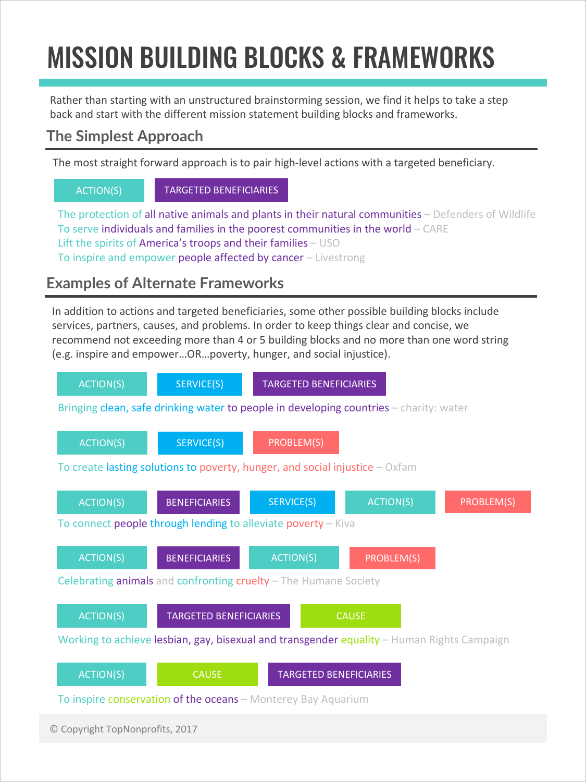# MISSION BUILDING BLOCKS & FRAMEWORKS

Rather than starting with an unstructured brainstorming session, we find it helps to take a step back and start with the different mission statement building blocks and frameworks.

### **The Simplest Approach**

The most straight forward approach is to pair high-level actions with a targeted beneficiary.

ACTION(S) TARGETED BENEFICIARIES

The protection of all native animals and plants in their natural communities  $-$  Defenders of Wildlife To serve individuals and families in the poorest communities in the world  $-$  CARE Lift the spirits of America's troops and their families  $-$  USO To inspire and empower people affected by cancer – Livestrong

### **Examples of Alternate Frameworks**

In addition to actions and targeted beneficiaries, some other possible building blocks include services, partners, causes, and problems. In order to keep things clear and concise, we recommend not exceeding more than 4 or 5 building blocks and no more than one word string (e.g. inspire and empower...OR...poverty, hunger, and social injustice).